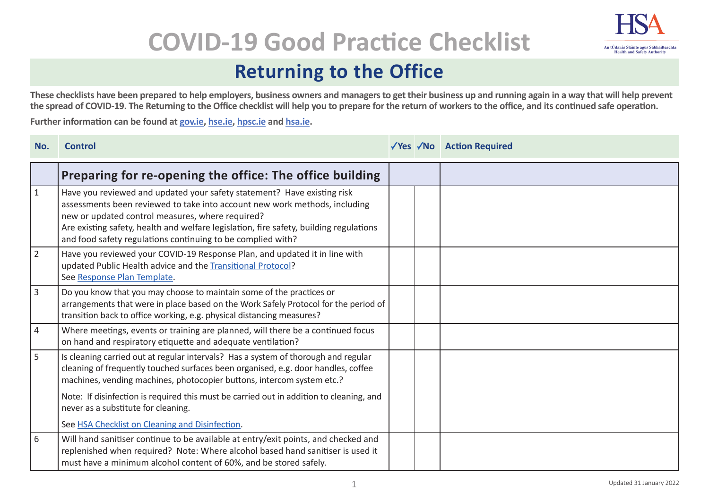

# **COVID-19 Good Practice Checklist**

## **Returning to the Office**

**These checklists have been prepared to help employers, business owners and managers to get their business up and running again in a way that will help prevent the spread of COVID-19. The Returning to the Office checklist will help you to prepare for the return of workers to the office, and its continued safe operation.** 

**Further information can be found at gov.ie, hse.ie, hpsc.ie and hsa.ie.**

| No.            | <b>Control</b>                                                                                                                                                                                                                                                                                                                                                     |  | √Yes √No Action Required |
|----------------|--------------------------------------------------------------------------------------------------------------------------------------------------------------------------------------------------------------------------------------------------------------------------------------------------------------------------------------------------------------------|--|--------------------------|
|                | Preparing for re-opening the office: The office building                                                                                                                                                                                                                                                                                                           |  |                          |
| $\vert$ 1      | Have you reviewed and updated your safety statement? Have existing risk<br>assessments been reviewed to take into account new work methods, including<br>new or updated control measures, where required?<br>Are existing safety, health and welfare legislation, fire safety, building regulations<br>and food safety regulations continuing to be complied with? |  |                          |
| $\vert$ 2      | Have you reviewed your COVID-19 Response Plan, and updated it in line with<br>updated Public Health advice and the Transitional Protocol?<br>See Response Plan Template.                                                                                                                                                                                           |  |                          |
| $ 3\rangle$    | Do you know that you may choose to maintain some of the practices or<br>arrangements that were in place based on the Work Safely Protocol for the period of<br>transition back to office working, e.g. physical distancing measures?                                                                                                                               |  |                          |
| $ 4\rangle$    | Where meetings, events or training are planned, will there be a continued focus<br>on hand and respiratory etiquette and adequate ventilation?                                                                                                                                                                                                                     |  |                          |
| $\overline{5}$ | Is cleaning carried out at regular intervals? Has a system of thorough and regular<br>cleaning of frequently touched surfaces been organised, e.g. door handles, coffee<br>machines, vending machines, photocopier buttons, intercom system etc.?                                                                                                                  |  |                          |
|                | Note: If disinfection is required this must be carried out in addition to cleaning, and<br>never as a substitute for cleaning.                                                                                                                                                                                                                                     |  |                          |
|                | See HSA Checklist on Cleaning and Disinfection.                                                                                                                                                                                                                                                                                                                    |  |                          |
| 6              | Will hand sanitiser continue to be available at entry/exit points, and checked and<br>replenished when required? Note: Where alcohol based hand sanitiser is used it<br>must have a minimum alcohol content of 60%, and be stored safely.                                                                                                                          |  |                          |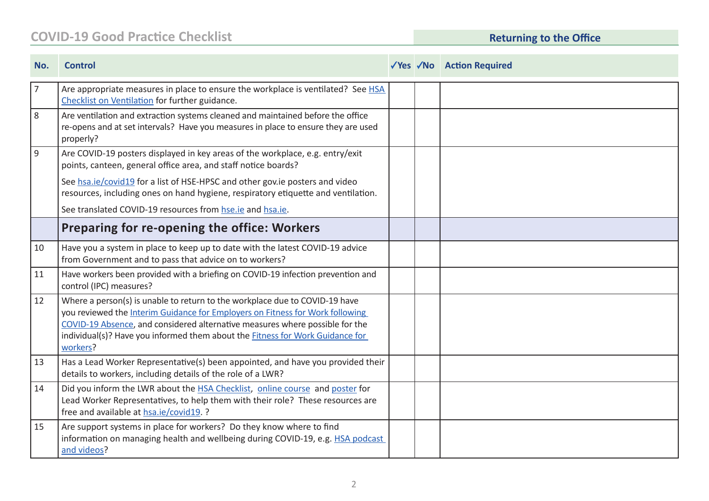### **COVID-19 Good Practice Checklist Returning to the Office**

| No.         | <b>Control</b>                                                                                                                                                                                                                                                                                                                            |  | √Yes √No Action Required |
|-------------|-------------------------------------------------------------------------------------------------------------------------------------------------------------------------------------------------------------------------------------------------------------------------------------------------------------------------------------------|--|--------------------------|
| $ 7\rangle$ | Are appropriate measures in place to ensure the workplace is ventilated? See HSA<br>Checklist on Ventilation for further guidance.                                                                                                                                                                                                        |  |                          |
| 8           | Are ventilation and extraction systems cleaned and maintained before the office<br>re-opens and at set intervals? Have you measures in place to ensure they are used<br>properly?                                                                                                                                                         |  |                          |
| 9 ا         | Are COVID-19 posters displayed in key areas of the workplace, e.g. entry/exit<br>points, canteen, general office area, and staff notice boards?                                                                                                                                                                                           |  |                          |
|             | See hsa.ie/covid19 for a list of HSE-HPSC and other gov.ie posters and video<br>resources, including ones on hand hygiene, respiratory etiquette and ventilation.                                                                                                                                                                         |  |                          |
|             | See translated COVID-19 resources from hse.ie and hsa.ie.                                                                                                                                                                                                                                                                                 |  |                          |
|             | Preparing for re-opening the office: Workers                                                                                                                                                                                                                                                                                              |  |                          |
| 10          | Have you a system in place to keep up to date with the latest COVID-19 advice<br>from Government and to pass that advice on to workers?                                                                                                                                                                                                   |  |                          |
| 11          | Have workers been provided with a briefing on COVID-19 infection prevention and<br>control (IPC) measures?                                                                                                                                                                                                                                |  |                          |
| 12          | Where a person(s) is unable to return to the workplace due to COVID-19 have<br>you reviewed the Interim Guidance for Employers on Fitness for Work following<br>COVID-19 Absence, and considered alternative measures where possible for the<br>individual(s)? Have you informed them about the Fitness for Work Guidance for<br>workers? |  |                          |
| 13          | Has a Lead Worker Representative(s) been appointed, and have you provided their<br>details to workers, including details of the role of a LWR?                                                                                                                                                                                            |  |                          |
| 14          | Did you inform the LWR about the HSA Checklist, online course and poster for<br>Lead Worker Representatives, to help them with their role? These resources are<br>free and available at hsa.ie/covid19. ?                                                                                                                                 |  |                          |
| 15          | Are support systems in place for workers? Do they know where to find<br>information on managing health and wellbeing during COVID-19, e.g. HSA podcast<br>and videos?                                                                                                                                                                     |  |                          |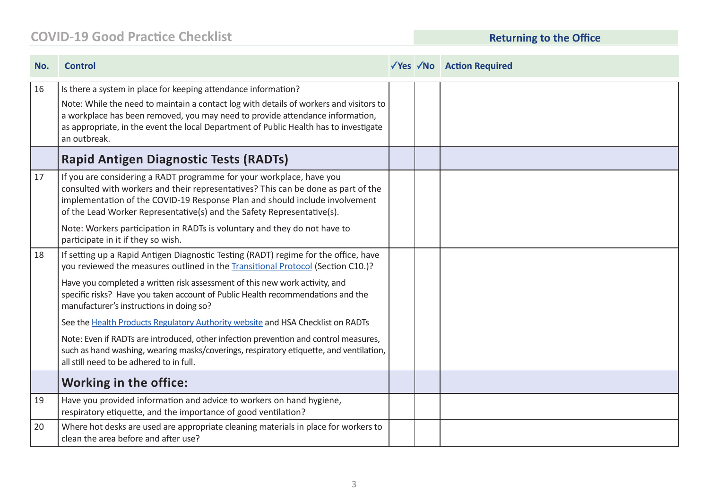### **COVID-19 Good Practice Checklist Returning to the Office**

| No. | <b>Control</b>                                                                                                                                                                                                                                                                                                                                     |  | √Yes √No Action Required |
|-----|----------------------------------------------------------------------------------------------------------------------------------------------------------------------------------------------------------------------------------------------------------------------------------------------------------------------------------------------------|--|--------------------------|
| 16  | Is there a system in place for keeping attendance information?<br>Note: While the need to maintain a contact log with details of workers and visitors to<br>a workplace has been removed, you may need to provide attendance information,<br>as appropriate, in the event the local Department of Public Health has to investigate<br>an outbreak. |  |                          |
|     | <b>Rapid Antigen Diagnostic Tests (RADTs)</b>                                                                                                                                                                                                                                                                                                      |  |                          |
| 17  | If you are considering a RADT programme for your workplace, have you<br>consulted with workers and their representatives? This can be done as part of the<br>implementation of the COVID-19 Response Plan and should include involvement<br>of the Lead Worker Representative(s) and the Safety Representative(s).                                 |  |                          |
|     | Note: Workers participation in RADTs is voluntary and they do not have to<br>participate in it if they so wish.                                                                                                                                                                                                                                    |  |                          |
| 18  | If setting up a Rapid Antigen Diagnostic Testing (RADT) regime for the office, have<br>you reviewed the measures outlined in the Transitional Protocol (Section C10.)?                                                                                                                                                                             |  |                          |
|     | Have you completed a written risk assessment of this new work activity, and<br>specific risks? Have you taken account of Public Health recommendations and the<br>manufacturer's instructions in doing so?                                                                                                                                         |  |                          |
|     | See the Health Products Regulatory Authority website and HSA Checklist on RADTs                                                                                                                                                                                                                                                                    |  |                          |
|     | Note: Even if RADTs are introduced, other infection prevention and control measures,<br>such as hand washing, wearing masks/coverings, respiratory etiquette, and ventilation,<br>all still need to be adhered to in full.                                                                                                                         |  |                          |
|     | <b>Working in the office:</b>                                                                                                                                                                                                                                                                                                                      |  |                          |
| 19  | Have you provided information and advice to workers on hand hygiene,<br>respiratory etiquette, and the importance of good ventilation?                                                                                                                                                                                                             |  |                          |
| 20  | Where hot desks are used are appropriate cleaning materials in place for workers to<br>clean the area before and after use?                                                                                                                                                                                                                        |  |                          |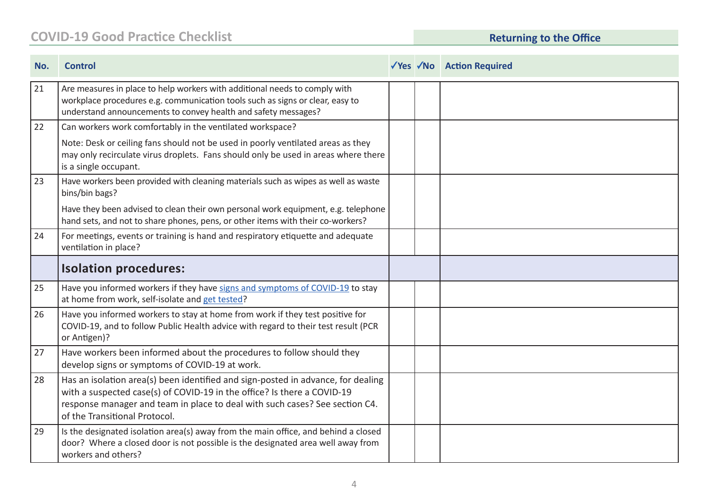### **COVID-19 Good Practice Checklist Returning to the Office**

| No. | <b>Control</b>                                                                                                                                                                                                                                                              |  | √Yes √No Action Required |
|-----|-----------------------------------------------------------------------------------------------------------------------------------------------------------------------------------------------------------------------------------------------------------------------------|--|--------------------------|
| 21  | Are measures in place to help workers with additional needs to comply with<br>workplace procedures e.g. communication tools such as signs or clear, easy to<br>understand announcements to convey health and safety messages?                                               |  |                          |
| 22  | Can workers work comfortably in the ventilated workspace?                                                                                                                                                                                                                   |  |                          |
|     | Note: Desk or ceiling fans should not be used in poorly ventilated areas as they<br>may only recirculate virus droplets. Fans should only be used in areas where there<br>is a single occupant.                                                                             |  |                          |
| 23  | Have workers been provided with cleaning materials such as wipes as well as waste<br>bins/bin bags?                                                                                                                                                                         |  |                          |
|     | Have they been advised to clean their own personal work equipment, e.g. telephone<br>hand sets, and not to share phones, pens, or other items with their co-workers?                                                                                                        |  |                          |
| 24  | For meetings, events or training is hand and respiratory etiquette and adequate<br>ventilation in place?                                                                                                                                                                    |  |                          |
|     | <b>Isolation procedures:</b>                                                                                                                                                                                                                                                |  |                          |
| 25  | Have you informed workers if they have signs and symptoms of COVID-19 to stay<br>at home from work, self-isolate and get tested?                                                                                                                                            |  |                          |
| 26  | Have you informed workers to stay at home from work if they test positive for<br>COVID-19, and to follow Public Health advice with regard to their test result (PCR<br>or Antigen)?                                                                                         |  |                          |
| 27  | Have workers been informed about the procedures to follow should they<br>develop signs or symptoms of COVID-19 at work.                                                                                                                                                     |  |                          |
| 28  | Has an isolation area(s) been identified and sign-posted in advance, for dealing<br>with a suspected case(s) of COVID-19 in the office? Is there a COVID-19<br>response manager and team in place to deal with such cases? See section C4.<br>of the Transitional Protocol. |  |                          |
| 29  | Is the designated isolation area(s) away from the main office, and behind a closed<br>door? Where a closed door is not possible is the designated area well away from<br>workers and others?                                                                                |  |                          |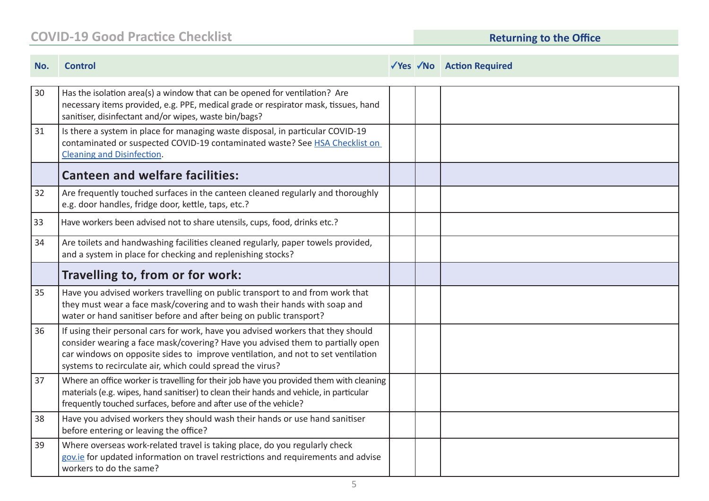#### **COVID-19 Good Practice Checklist**

**Returning to the Office** 

| No. | <b>Control</b>                                                                                                                                                                                                                                                                                                      |  | √Yes √No Action Required |
|-----|---------------------------------------------------------------------------------------------------------------------------------------------------------------------------------------------------------------------------------------------------------------------------------------------------------------------|--|--------------------------|
| 30  | Has the isolation area(s) a window that can be opened for ventilation? Are<br>necessary items provided, e.g. PPE, medical grade or respirator mask, tissues, hand<br>sanitiser, disinfectant and/or wipes, waste bin/bags?                                                                                          |  |                          |
| 31  | Is there a system in place for managing waste disposal, in particular COVID-19<br>contaminated or suspected COVID-19 contaminated waste? See HSA Checklist on<br><b>Cleaning and Disinfection.</b>                                                                                                                  |  |                          |
|     | <b>Canteen and welfare facilities:</b>                                                                                                                                                                                                                                                                              |  |                          |
| 32  | Are frequently touched surfaces in the canteen cleaned regularly and thoroughly<br>e.g. door handles, fridge door, kettle, taps, etc.?                                                                                                                                                                              |  |                          |
| 33  | Have workers been advised not to share utensils, cups, food, drinks etc.?                                                                                                                                                                                                                                           |  |                          |
| 34  | Are toilets and handwashing facilities cleaned regularly, paper towels provided,<br>and a system in place for checking and replenishing stocks?                                                                                                                                                                     |  |                          |
|     | Travelling to, from or for work:                                                                                                                                                                                                                                                                                    |  |                          |
| 35  | Have you advised workers travelling on public transport to and from work that<br>they must wear a face mask/covering and to wash their hands with soap and<br>water or hand sanitiser before and after being on public transport?                                                                                   |  |                          |
| 36  | If using their personal cars for work, have you advised workers that they should<br>consider wearing a face mask/covering? Have you advised them to partially open<br>car windows on opposite sides to improve ventilation, and not to set ventilation<br>systems to recirculate air, which could spread the virus? |  |                          |
| 37  | Where an office worker is travelling for their job have you provided them with cleaning<br>materials (e.g. wipes, hand sanitiser) to clean their hands and vehicle, in particular<br>frequently touched surfaces, before and after use of the vehicle?                                                              |  |                          |
| 38  | Have you advised workers they should wash their hands or use hand sanitiser<br>before entering or leaving the office?                                                                                                                                                                                               |  |                          |
| 39  | Where overseas work-related travel is taking place, do you regularly check<br>gov.ie for updated information on travel restrictions and requirements and advise<br>workers to do the same?                                                                                                                          |  |                          |